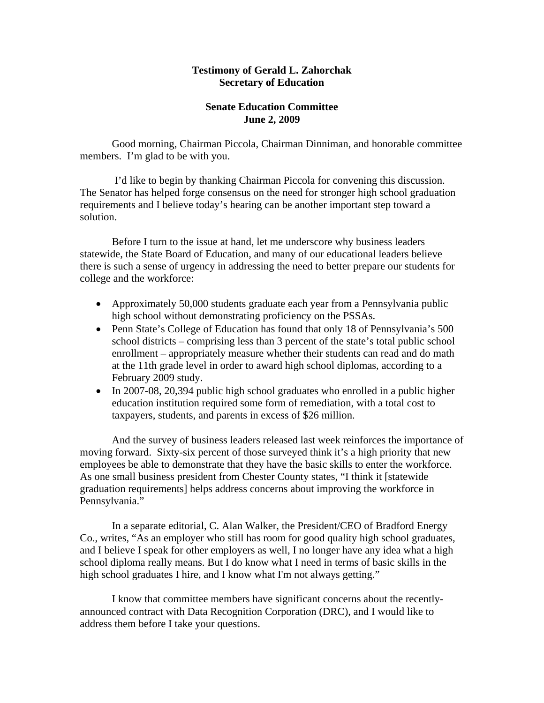#### **Testimony of Gerald L. Zahorchak Secretary of Education**

### **Senate Education Committee June 2, 2009**

 Good morning, Chairman Piccola, Chairman Dinniman, and honorable committee members. I'm glad to be with you.

 I'd like to begin by thanking Chairman Piccola for convening this discussion. The Senator has helped forge consensus on the need for stronger high school graduation requirements and I believe today's hearing can be another important step toward a solution.

 Before I turn to the issue at hand, let me underscore why business leaders statewide, the State Board of Education, and many of our educational leaders believe there is such a sense of urgency in addressing the need to better prepare our students for college and the workforce:

- Approximately 50,000 students graduate each year from a Pennsylvania public high school without demonstrating proficiency on the PSSAs.
- Penn State's College of Education has found that only 18 of Pennsylvania's 500 school districts – comprising less than 3 percent of the state's total public school enrollment – appropriately measure whether their students can read and do math at the 11th grade level in order to award high school diplomas, according to a February 2009 study.
- In 2007-08, 20,394 public high school graduates who enrolled in a public higher education institution required some form of remediation, with a total cost to taxpayers, students, and parents in excess of \$26 million.

And the survey of business leaders released last week reinforces the importance of moving forward. Sixty-six percent of those surveyed think it's a high priority that new employees be able to demonstrate that they have the basic skills to enter the workforce. As one small business president from Chester County states, "I think it [statewide graduation requirements] helps address concerns about improving the workforce in Pennsylvania."

 In a separate editorial, C. Alan Walker, the President/CEO of Bradford Energy Co., writes, "As an employer who still has room for good quality high school graduates, and I believe I speak for other employers as well, I no longer have any idea what a high school diploma really means. But I do know what I need in terms of basic skills in the high school graduates I hire, and I know what I'm not always getting."

 I know that committee members have significant concerns about the recentlyannounced contract with Data Recognition Corporation (DRC), and I would like to address them before I take your questions.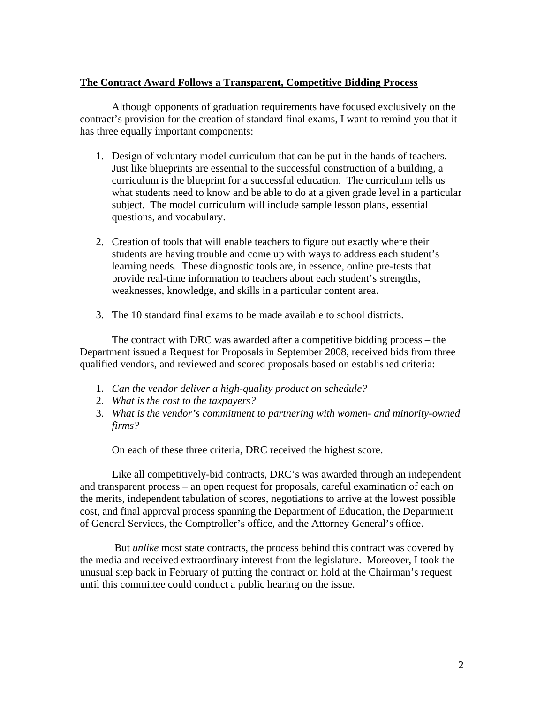## **The Contract Award Follows a Transparent, Competitive Bidding Process**

 Although opponents of graduation requirements have focused exclusively on the contract's provision for the creation of standard final exams, I want to remind you that it has three equally important components:

- 1. Design of voluntary model curriculum that can be put in the hands of teachers. Just like blueprints are essential to the successful construction of a building, a curriculum is the blueprint for a successful education. The curriculum tells us what students need to know and be able to do at a given grade level in a particular subject. The model curriculum will include sample lesson plans, essential questions, and vocabulary.
- 2. Creation of tools that will enable teachers to figure out exactly where their students are having trouble and come up with ways to address each student's learning needs. These diagnostic tools are, in essence, online pre-tests that provide real-time information to teachers about each student's strengths, weaknesses, knowledge, and skills in a particular content area.
- 3. The 10 standard final exams to be made available to school districts.

The contract with DRC was awarded after a competitive bidding process – the Department issued a Request for Proposals in September 2008, received bids from three qualified vendors, and reviewed and scored proposals based on established criteria:

- 1. *Can the vendor deliver a high-quality product on schedule?*
- 2. *What is the cost to the taxpayers?*
- 3. *What is the vendor's commitment to partnering with women- and minority-owned firms?*

On each of these three criteria, DRC received the highest score.

Like all competitively-bid contracts, DRC's was awarded through an independent and transparent process – an open request for proposals, careful examination of each on the merits, independent tabulation of scores, negotiations to arrive at the lowest possible cost, and final approval process spanning the Department of Education, the Department of General Services, the Comptroller's office, and the Attorney General's office.

 But *unlike* most state contracts, the process behind this contract was covered by the media and received extraordinary interest from the legislature. Moreover, I took the unusual step back in February of putting the contract on hold at the Chairman's request until this committee could conduct a public hearing on the issue.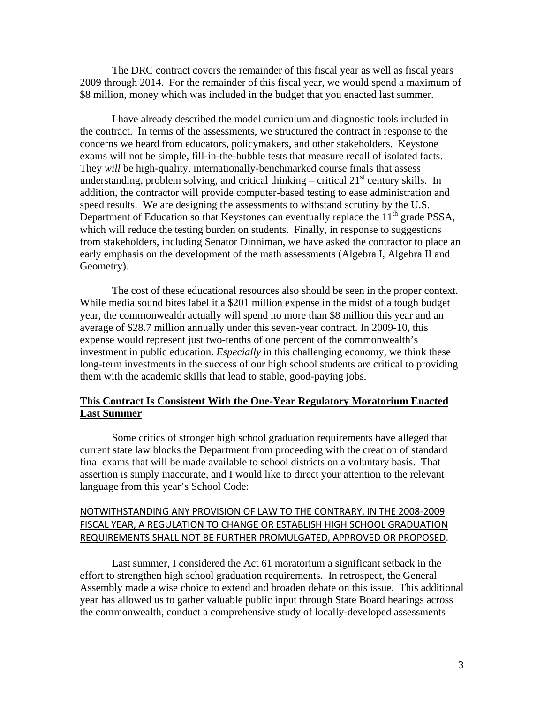The DRC contract covers the remainder of this fiscal year as well as fiscal years 2009 through 2014. For the remainder of this fiscal year, we would spend a maximum of \$8 million, money which was included in the budget that you enacted last summer.

 I have already described the model curriculum and diagnostic tools included in the contract. In terms of the assessments, we structured the contract in response to the concerns we heard from educators, policymakers, and other stakeholders. Keystone exams will not be simple, fill-in-the-bubble tests that measure recall of isolated facts. They *will* be high-quality, internationally-benchmarked course finals that assess understanding, problem solving, and critical thinking – critical  $21<sup>st</sup>$  century skills. In addition, the contractor will provide computer-based testing to ease administration and speed results. We are designing the assessments to withstand scrutiny by the U.S. Department of Education so that Keystones can eventually replace the  $11<sup>th</sup>$  grade PSSA, which will reduce the testing burden on students. Finally, in response to suggestions from stakeholders, including Senator Dinniman, we have asked the contractor to place an early emphasis on the development of the math assessments (Algebra I, Algebra II and Geometry).

 The cost of these educational resources also should be seen in the proper context. While media sound bites label it a \$201 million expense in the midst of a tough budget year, the commonwealth actually will spend no more than \$8 million this year and an average of \$28.7 million annually under this seven-year contract. In 2009-10, this expense would represent just two-tenths of one percent of the commonwealth's investment in public education. *Especially* in this challenging economy, we think these long-term investments in the success of our high school students are critical to providing them with the academic skills that lead to stable, good-paying jobs.

### **This Contract Is Consistent With the One-Year Regulatory Moratorium Enacted Last Summer**

Some critics of stronger high school graduation requirements have alleged that current state law blocks the Department from proceeding with the creation of standard final exams that will be made available to school districts on a voluntary basis. That assertion is simply inaccurate, and I would like to direct your attention to the relevant language from this year's School Code:

# NOTWITHSTANDING ANY PROVISION OF LAW TO THE CONTRARY, IN THE 2008‐2009 FISCAL YEAR, A REGULATION TO CHANGE OR ESTABLISH HIGH SCHOOL GRADUATION REQUIREMENTS SHALL NOT BE FURTHER PROMULGATED, APPROVED OR PROPOSED.

 Last summer, I considered the Act 61 moratorium a significant setback in the effort to strengthen high school graduation requirements. In retrospect, the General Assembly made a wise choice to extend and broaden debate on this issue. This additional year has allowed us to gather valuable public input through State Board hearings across the commonwealth, conduct a comprehensive study of locally-developed assessments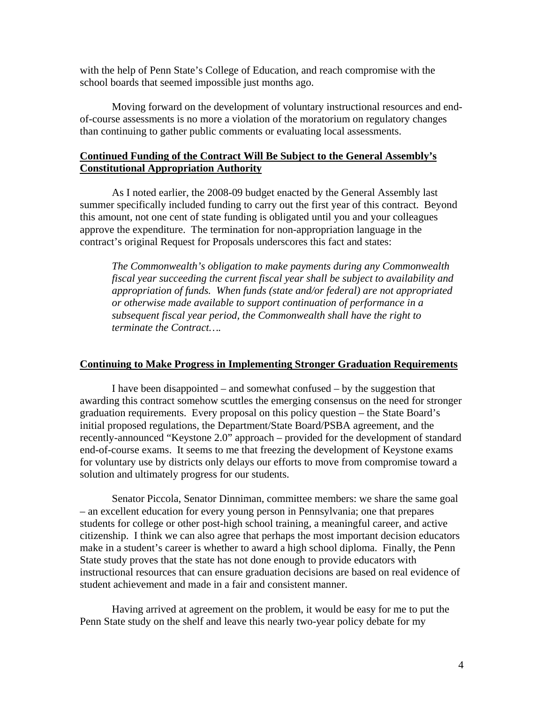with the help of Penn State's College of Education, and reach compromise with the school boards that seemed impossible just months ago.

 Moving forward on the development of voluntary instructional resources and endof-course assessments is no more a violation of the moratorium on regulatory changes than continuing to gather public comments or evaluating local assessments.

### **Continued Funding of the Contract Will Be Subject to the General Assembly's Constitutional Appropriation Authority**

 As I noted earlier, the 2008-09 budget enacted by the General Assembly last summer specifically included funding to carry out the first year of this contract. Beyond this amount, not one cent of state funding is obligated until you and your colleagues approve the expenditure. The termination for non-appropriation language in the contract's original Request for Proposals underscores this fact and states:

*The Commonwealth's obligation to make payments during any Commonwealth fiscal year succeeding the current fiscal year shall be subject to availability and appropriation of funds. When funds (state and/or federal) are not appropriated or otherwise made available to support continuation of performance in a subsequent fiscal year period, the Commonwealth shall have the right to terminate the Contract….* 

#### **Continuing to Make Progress in Implementing Stronger Graduation Requirements**

I have been disappointed – and somewhat confused – by the suggestion that awarding this contract somehow scuttles the emerging consensus on the need for stronger graduation requirements. Every proposal on this policy question – the State Board's initial proposed regulations, the Department/State Board/PSBA agreement, and the recently-announced "Keystone 2.0" approach – provided for the development of standard end-of-course exams. It seems to me that freezing the development of Keystone exams for voluntary use by districts only delays our efforts to move from compromise toward a solution and ultimately progress for our students.

 Senator Piccola, Senator Dinniman, committee members: we share the same goal – an excellent education for every young person in Pennsylvania; one that prepares students for college or other post-high school training, a meaningful career, and active citizenship. I think we can also agree that perhaps the most important decision educators make in a student's career is whether to award a high school diploma. Finally, the Penn State study proves that the state has not done enough to provide educators with instructional resources that can ensure graduation decisions are based on real evidence of student achievement and made in a fair and consistent manner.

 Having arrived at agreement on the problem, it would be easy for me to put the Penn State study on the shelf and leave this nearly two-year policy debate for my